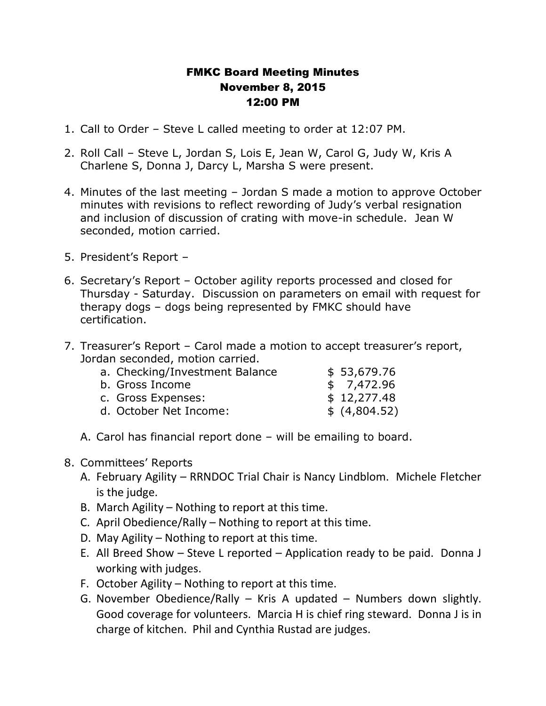## FMKC Board Meeting Minutes November 8, 2015 12:00 PM

- 1. Call to Order Steve L called meeting to order at 12:07 PM.
- 2. Roll Call Steve L, Jordan S, Lois E, Jean W, Carol G, Judy W, Kris A Charlene S, Donna J, Darcy L, Marsha S were present.
- 4. Minutes of the last meeting Jordan S made a motion to approve October minutes with revisions to reflect rewording of Judy's verbal resignation and inclusion of discussion of crating with move-in schedule. Jean W seconded, motion carried.
- 5. President's Report –
- 6. Secretary's Report October agility reports processed and closed for Thursday - Saturday. Discussion on parameters on email with request for therapy dogs – dogs being represented by FMKC should have certification.
- 7. Treasurer's Report Carol made a motion to accept treasurer's report, Jordan seconded, motion carried.

| a. Checking/Investment Balance | \$53,679.76   |
|--------------------------------|---------------|
| b. Gross Income                | \$7,472.96    |
| c. Gross Expenses:             | \$12,277.48   |
| d. October Net Income:         | \$ (4,804.52) |

- A. Carol has financial report done will be emailing to board.
- 8. Committees' Reports
	- A. February Agility RRNDOC Trial Chair is Nancy Lindblom. Michele Fletcher is the judge.
	- B. March Agility Nothing to report at this time.
	- C. April Obedience/Rally Nothing to report at this time.
	- D. May Agility Nothing to report at this time.
	- E. All Breed Show Steve L reported Application ready to be paid. Donna J working with judges.
	- F. October Agility Nothing to report at this time.
	- G. November Obedience/Rally Kris A updated Numbers down slightly. Good coverage for volunteers. Marcia H is chief ring steward. Donna J is in charge of kitchen. Phil and Cynthia Rustad are judges.